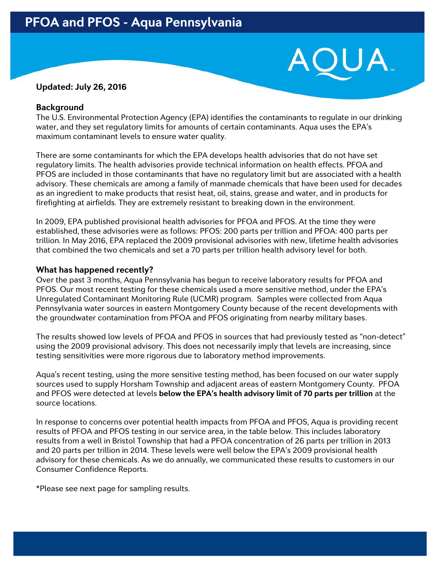## **Updated: July 26, 2016**

### **Background**

The U.S. Environmental Protection Agency (EPA) identifies the contaminants to regulate in our drinking water, and they set regulatory limits for amounts of certain contaminants. Aqua uses the EPA's maximum contaminant levels to ensure water quality.

There are some contaminants for which the EPA develops health advisories that do not have set regulatory limits. The health advisories provide technical information on health effects. PFOA and PFOS are included in those contaminants that have no regulatory limit but are associated with a health advisory. These chemicals are among a family of manmade chemicals that have been used for decades as an ingredient to make products that resist heat, oil, stains, grease and water, and in products for firefighting at airfields. They are extremely resistant to breaking down in the environment.

In 2009, EPA published provisional health advisories for PFOA and PFOS. At the time they were established, these advisories were as follows: PFOS: 200 parts per trillion and PFOA: 400 parts per trillion. In May 2016, EPA replaced the 2009 provisional advisories with new, lifetime health advisories that combined the two chemicals and set a 70 parts per trillion health advisory level for both.

## **What has happened recently?**

Over the past 3 months, Aqua Pennsylvania has begun to receive laboratory results for PFOA and PFOS. Our most recent testing for these chemicals used a more sensitive method, under the EPA's Unregulated Contaminant Monitoring Rule (UCMR) program. Samples were collected from Aqua Pennsylvania water sources in eastern Montgomery County because of the recent developments with the groundwater contamination from PFOA and PFOS originating from nearby military bases.

The results showed low levels of PFOA and PFOS in sources that had previously tested as "non-detect" using the 2009 provisional advisory. This does not necessarily imply that levels are increasing, since testing sensitivities were more rigorous due to laboratory method improvements.

Aqua's recent testing, using the more sensitive testing method, has been focused on our water supply sources used to supply Horsham Township and adjacent areas of eastern Montgomery County. PFOA and PFOS were detected at levels **below the EPA's health advisory limit of 70 parts per trillion** at the source locations.

In response to concerns over potential health impacts from PFOA and PFOS, Aqua is providing recent results of PFOA and PFOS testing in our service area, in the table below. This includes laboratory results from a well in Bristol Township that had a PFOA concentration of 26 parts per trillion in 2013 and 20 parts per trillion in 2014. These levels were well below the EPA's 2009 provisional health advisory for these chemicals. As we do annually, we communicated these results to customers in our Consumer Confidence Reports.

\*Please see next page for sampling results.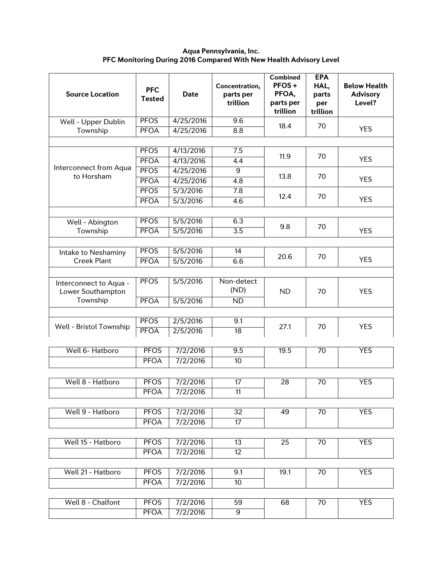#### **Aqua Pennsylvania, Inc. PFC Monitoring During 2016 Compared With New Health Advisory Level**

| <b>Source Location</b>                                  | <b>PFC</b><br><b>Tested</b> | <b>Date</b>          | Concentration,<br>parts per<br>trillion | <b>Combined</b><br>PFOS+<br>PFOA,<br>parts per<br>trillion | <b>EPA</b><br>HAL,<br>parts<br>per<br>trillion | <b>Below Health</b><br><b>Advisory</b><br>Level? |
|---------------------------------------------------------|-----------------------------|----------------------|-----------------------------------------|------------------------------------------------------------|------------------------------------------------|--------------------------------------------------|
| Well - Upper Dublin<br>Township                         | <b>PFOS</b>                 | 4/25/2016            | 9.6                                     | 18.4                                                       | 70                                             |                                                  |
|                                                         | <b>PFOA</b>                 | 4/25/2016            | 8.8                                     |                                                            |                                                | <b>YES</b>                                       |
|                                                         |                             |                      |                                         |                                                            |                                                |                                                  |
| Interconnect from Aqua<br>to Horsham                    | <b>PFOS</b>                 | 4/13/2016            | 7.5                                     | 11.9                                                       | 70                                             | <b>YES</b>                                       |
|                                                         | <b>PFOA</b>                 | 4/13/2016            | $\overline{4.4}$                        |                                                            |                                                |                                                  |
|                                                         | <b>PFOS</b>                 | 4/25/2016            | $\overline{9}$                          | 13.8                                                       | 70                                             | <b>YES</b>                                       |
|                                                         | <b>PFOA</b>                 | 4/25/2016            | 4.8                                     |                                                            |                                                |                                                  |
|                                                         | <b>PFOS</b>                 | 5/3/2016             | $\overline{7.8}$                        | 12.4                                                       | 70                                             | <b>YES</b>                                       |
|                                                         | <b>PFOA</b>                 | 5/3/2016             | 4.6                                     |                                                            |                                                |                                                  |
|                                                         |                             |                      |                                         |                                                            |                                                |                                                  |
| Well - Abington                                         | <b>PFOS</b>                 | 5/5/2016             | 6.3                                     | 9.8                                                        | 70                                             |                                                  |
| Township                                                | <b>PFOA</b>                 | 5/5/2016             | $\overline{3.5}$                        |                                                            |                                                | <b>YES</b>                                       |
|                                                         |                             |                      |                                         |                                                            |                                                |                                                  |
| Intake to Neshaminy                                     | <b>PFOS</b>                 | 5/5/2016             | 14                                      | 20.6                                                       | 70                                             | <b>YES</b>                                       |
| <b>Creek Plant</b>                                      | <b>PFOA</b>                 | 5/5/2016             | 6.6                                     |                                                            |                                                |                                                  |
| Interconnect to Aqua -<br>Lower Southampton<br>Township | <b>PFOS</b><br><b>PFOA</b>  | 5/5/2016<br>5/5/2016 | Non-detect<br>(ND)<br>ND                | <b>ND</b>                                                  | 70                                             | <b>YES</b>                                       |
|                                                         |                             |                      |                                         |                                                            |                                                |                                                  |
| Well - Bristol Township                                 | <b>PFOS</b>                 | 2/5/2016             | 9.1                                     | 27.1                                                       | 70                                             | <b>YES</b>                                       |
|                                                         | <b>PFOA</b>                 | 2/5/2016             | 18                                      |                                                            |                                                |                                                  |
|                                                         |                             |                      |                                         |                                                            |                                                |                                                  |
| Well 6- Hatboro                                         | <b>PFOS</b>                 | 7/2/2016             | $\overline{9.5}$                        | 19.5                                                       | $\overline{70}$                                | <b>YES</b>                                       |
|                                                         | <b>PFOA</b>                 | 7/2/2016             | $\overline{10}$                         |                                                            |                                                |                                                  |
|                                                         |                             |                      |                                         |                                                            |                                                |                                                  |
| Well 8 - Hatboro                                        | <b>PFOS</b>                 | 7/2/2016             | 17                                      | 28                                                         | 70                                             | <b>YES</b>                                       |
|                                                         | PFOA                        | 7/2/2016             | 11                                      |                                                            |                                                |                                                  |
|                                                         |                             |                      |                                         |                                                            |                                                |                                                  |
| Well 9 - Hatboro                                        | <b>PFOS</b>                 | 7/2/2016             | 32                                      | 49                                                         | 70                                             | <b>YES</b>                                       |
|                                                         | <b>PFOA</b>                 | 7/2/2016             | 17                                      |                                                            |                                                |                                                  |
|                                                         |                             |                      |                                         |                                                            |                                                |                                                  |
| Well 15 - Hatboro                                       | <b>PFOS</b>                 | 7/2/2016             | 13                                      | 25                                                         | 70                                             | <b>YES</b>                                       |
|                                                         | <b>PFOA</b>                 | 7/2/2016             | $\overline{12}$                         |                                                            |                                                |                                                  |
|                                                         |                             |                      |                                         |                                                            |                                                |                                                  |
| Well 21 - Hatboro                                       | <b>PFOS</b>                 | 7/2/2016             | 9.1                                     | 19.1                                                       | 70                                             | <b>YES</b>                                       |
|                                                         | <b>PFOA</b>                 | 7/2/2016             | 10                                      |                                                            |                                                |                                                  |
|                                                         |                             |                      |                                         |                                                            |                                                |                                                  |
| Well 8 - Chalfont                                       | <b>PFOS</b>                 | 7/2/2016             | 59                                      | 68                                                         | 70                                             | <b>YES</b>                                       |
|                                                         | <b>PFOA</b>                 | 7/2/2016             | 9                                       |                                                            |                                                |                                                  |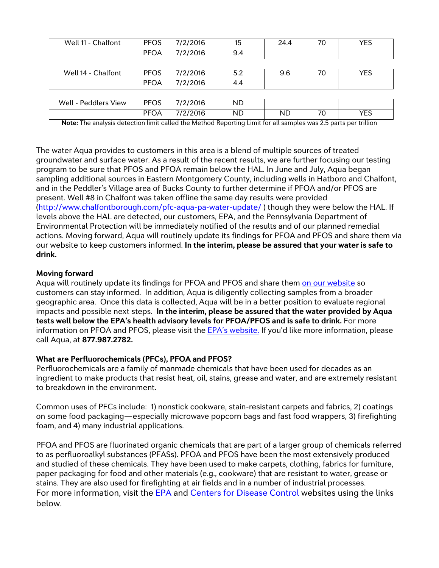| Well 11 - Chalfont   | <b>PFOS</b> | 7/2/2016 | 15        | 24.4 | 70 | YES |
|----------------------|-------------|----------|-----------|------|----|-----|
|                      | <b>PFOA</b> | 7/2/2016 | 9.4       |      |    |     |
|                      |             |          |           |      |    |     |
| Well 14 - Chalfont   | <b>PFOS</b> | 7/2/2016 | 5.2       | 9.6  | 70 | YES |
|                      | <b>PFOA</b> | 7/2/2016 | 4.4       |      |    |     |
|                      |             |          |           |      |    |     |
| Well - Peddlers View | <b>PFOS</b> | 7/2/2016 | <b>ND</b> |      |    |     |
|                      | <b>PFOA</b> | 7/2/2016 | <b>ND</b> | ND   | 70 | YES |

**Note:** The analysis detection limit called the Method Reporting Limit for all samples was 2.5 parts per trillion

The water Aqua provides to customers in this area is a blend of multiple sources of treated groundwater and surface water. As a result of the recent results, we are further focusing our testing program to be sure that PFOS and PFOA remain below the HAL. In June and July, Aqua began sampling additional sources in Eastern Montgomery County, including wells in Hatboro and Chalfont, and in the Peddler's Village area of Bucks County to further determine if PFOA and/or PFOS are present. Well #8 in Chalfont was taken offline the same day results were provided [\(http://www.chalfontborough.com/pfc-aqua-pa-water-update/](http://www.chalfontborough.com/pfc-aqua-pa-water-update/) ) though they were below the HAL. If levels above the HAL are detected, our customers, EPA, and the Pennsylvania Department of Environmental Protection will be immediately notified of the results and of our planned remedial actions. Moving forward, Aqua will routinely update its findings for PFOA and PFOS and share them via our website to keep customers informed. **In the interim, please be assured that your water is safe to drink.**

#### **Moving forward**

Aqua will routinely update its findings for PFOA and PFOS and share them on [our website](https://www.aquaamerica.com/our-states/pennsylvania.aspx) so customers can stay informed. In addition, Aqua is diligently collecting samples from a broader geographic area. Once this data is collected, Aqua will be in a better position to evaluate regional impacts and possible next steps. **In the interim, please be assured that the water provided by Aqua tests well below the EPA's health advisory levels for PFOA/PFOS and is safe to drink.** For more information on PFOA and PFOS, please visit the **EPA's website**. If you'd like more information, please call Aqua, at **877.987.2782.**

## **What are Perfluorochemicals (PFCs), PFOA and PFOS?**

Perfluorochemicals are a family of manmade chemicals that have been used for decades as an ingredient to make products that resist heat, oil, stains, grease and water, and are extremely resistant to breakdown in the environment.

Common uses of PFCs include: 1) nonstick cookware, stain-resistant carpets and fabrics, 2) coatings on some food packaging—especially microwave popcorn bags and fast food wrappers, 3) firefighting foam, and 4) many industrial applications.

PFOA and PFOS are fluorinated organic chemicals that are part of a larger group of chemicals referred to as perfluoroalkyl substances (PFASs). PFOA and PFOS have been the most extensively produced and studied of these chemicals. They have been used to make carpets, clothing, fabrics for furniture, paper packaging for food and other materials (e.g., cookware) that are resistant to water, grease or stains. They are also used for firefighting at air fields and in a number of industrial processes. For more information, visit the **EPA** and [Centers for Disease Control](http://www.atsdr.cdc.gov/pfc/index.html) websites using the links below.